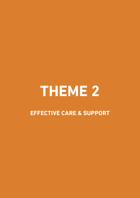# **THEME 2**

# **EFFECTIvE CARE & SuPPORT**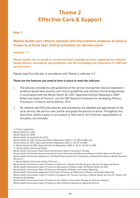# **Theme 2 Effective Care & Support**

# **Aim 1**

# **Mental health care reflects national and international evidence of what is known to achieve best clinical outcomes for service users.**

#### **Indicator 1.1**

**Mental health care is based on current and best available practice supported by evidencebased policies, procedures and guidelines and the knowledge and experience of staff and service users.**

Please read this indicator in accordance with Theme 4, indicator 2.2

#### **These are the features you need to have in place to meet the indicator.**

- **1.** The policies, procedures and guidelines of the service incorporate relevant legislation<sup>1</sup>, evidence-based best practice and clinical guidelines and national clinical programmes, in accordance with the *Mental Health Act 2001 (Approved Centres) Regulations 2006*<sup>2</sup> *,*  Rules<sup>3</sup> and Codes of Practice<sup>4</sup>, and the HSE National Framework for developing Policies, *Procedures, Protocols and Guidelines, 2016.*
- **2.** All national and CHO area policies and procedures are adopted and appropriate to the local service, the service user profile and guide the practice in place. Throughout this document, where a policy or procedure is referred to, the minimum requirements of the policy are included.

*1. Primary Legislation – Mental Health Act, 2001; Mental Health Act 2008; Mental Health (Amendment) Act 2015; Mental Health Act 2001 (Authorised Officer) Regulations 2006 S.I. No 550 of 2006; and Mental Health Act 2001 (Approved Centres) Regulations 2006 S.I. No 551 of 2006 2. Mental Health Act 2001 (Approved Centres) Regulations 2006 S.I. No S.I. No 551 of 2006 3. Mental Health Commission Rules: Mental Health Commission Rules Governing the Use of Electro-Convulsive Therapy; Mental Health Commission Rules Governing the Use of Seclusion and Mechanical Means of Bodily Restraint (Version 2) Mental Health Commission Addendum to the Rules Governing the Use of Seclusion and Mechanical Means of Bodily Restraint (Version 2) 4. Mental Health Commission Codes of Practice: Mental Health Commission Code of Practice on Admission, Transfer and Discharge to and from an Approved Centre Mental Health Commission Code of Practice on Admission of Children under the Mental Health Act 2001 Mental Health Commission Code of Practice on Notification of Deaths and Incident Reporting Mental Health Commission Addendum to the Code of Practice on Notification of Deaths and Incident Reporting Mental Health Commission Code of Practice on Guidance for Persons working in Mental Health Services for People with Intellectual Disabilities Mental Health Commission Code of Practice on Use of Electro-Convulsive Therapy for Voluntary Patients Mental Health Commission Code of Practice on Use of Physical Restraint in Approved Centres*

**\*\*\*\*\*\*\*\*\*\*\*\*\*\***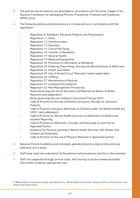- **3.** The polices and procedures are developed in accordance with the seven stages of the National Framework for developing Policies, Procedures, Protocols and Guidelines (PPPG 2016).
- **4.** The following policies and procedures are in place and are in accordance with the legislation<sup>5</sup>:
	- Regulation 8: Residents' Personal Property and Possessions.
	- Regulation 11: Visits.
	- Regulation 12: Communication.
	- Regulation 13: Searches.
	- Regulation 14: Care of the Dying.
	- Regulation 18: Transfer of Residents.
	- Regulation 19: General Health.
	- Regulation 19: Medical Emergencies
	- Regulation 20: Provision of Information to Residents.
	- Regulation 23: Ordering, Prescribing, Storing and Administration of Medicines.
	- Regulation 24: Health and Safety.
	- Regulation 25: Use of Closed Circuit Television (where applicable).
	- Regulation 26: Staffing.
	- Regulation 27: Maintenance of Records.
	- Regulation 31: Complaints Procedures.
	- Regulation 32: Risk Management Procedures.
	- Rules Governing the Use of Seclusion and Mechanical Means of Bodily Restraint (and addendum).
	- Rules governing the use of Electro-Convulsive Therapy (ECT).
	- Code of Practice on the Use of Electro-Convulsive Therapy for Voluntary Patients.
	- Code of Practice relating to Admission of Children under the Mental Health Act (2001) (and addendum).
	- Code of Practice for Mental Health Services on Notification of Deaths and Incident Reporting.
	- Code of Practice on Admission, Transfer and Discharge to and from an Approved Centre.
	- Guidance for Persons working in Mental Health Services with People with Intellectual Disabilities.
	- Code of Practice on the use of Physical Restraint in Approved Centres.
- **5.** National Clinical Guidelines and nationally agreed protocols, programmes and care pathways are in place.
- **6.** Staff have read and understand all the policies and procedures and this is documented.
- **7.** Staff are supported through journal clubs, and training, to access evidenced based information to deliver appropriate care.

*5. Mental Health Commission Quality and Safety Forms, Mental Health Commission Statutory Forms, Clinical Forms and Patient Information Forms*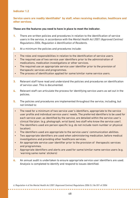#### **Service users are readily identifiable6 by staff, when receiving medication, healthcare and other services.**

#### **These are the features you need to have in place to meet the indicator.**

- **1.** There are written policies and procedures in relation to the identification of service users in the service, in accordance with the *Mental Health Act 2001 (Approved Centres) Regulations 2006, Regulation 4 Identification of Residents*.
- **2.** At a minimum the policies and procedures include:
	- The roles and responsibilities in relation to the identification of service users.
	- The required use of two service user identifiers prior to the administration of medications, medication investigations or other services.
- The required use an appropriate service user identifier prior to the provision of therapeutic services and programmes.
- The process of identification applied for same/similar name service users.
- **3.** Relevant staff have read and understand the policies and procedures on identification of service user. This is documented.
- **4.** Relevant staff can articulate the process for identifying service users as set out in the policies.
- **5.** The policies and procedures are implemented throughout the service, including, but not limited to:
- The need for a minimum of two service user's identifiers, appropriate to the service user profile and individual service users' needs. The preferred identifiers to be used for each service user, as identified by the service, are detailed within the service user's clinical file/plan. (e.g. photograph, wrist band, two staff who know the service user).
- The identifiers used are person specific (e.g. do not include room number or physical location).
- The identifiers used are appropriate to the service users' communication abilities.
- Two appropriate identifiers are used when administering medication, before medical investigations and providing other healthcare services.
- An appropriate service user identifier prior to the provision of therapeutic services and programmes.
- Appropriate identifiers and alerts are used for same/similar name service users (e.g. 'warning same name' stickers)
- **6.** An annual audit is undertaken to ensure appropriate service user identifiers are used. Analysis is completed to identify and respond to issues identified.

*6. Regulation 4 of the Mental Health Act 2001 (Approved Centres) Regulations 2006 S.I. No 551 of 2006*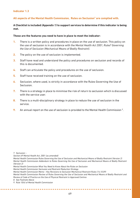#### **All aspects of the Mental Health Commission, Rules on Seclusion7 are complied with.**

#### **A Checklist is included** *(Appendix 1)* **to support services to determine if this indicator is being met.**

#### **These are the features you need to have in place to meet the indicator:**

- **1.** There is a written policy and procedures in place on the use of seclusion. This policy on the use of seclusion is in accordance with the *Mental Health Act 2001*, Rules<sup>8</sup> Governing *the Use of Seclusion (Mechanical Means of Bodily Restraint)*.
- **2.** The policy on the use of seclusion is implemented.
- **3.** Staff have read and understand the policy and procedures on seclusion and records of this is documented.
- **4.** Staff can articulate the policy and procedures on the use of seclusion.
- **5.** Staff have received training on the use of seclusion.
- **6.** Seclusion, where used, is strictly in accordance with the Rules Governing the Use of Seclusion.
- **7.** There is a strategy in place to minimise the risk of return to seclusion which is discussed with the service user
- **8.** There is a multi-disciplinary strategy in place to reduce the use of seclusion in the service.
- **9.** An annual report on the use of seclusion is provided to the Mental Health Commission<sup>9</sup>.

*7. Seclusion: -*

*Section 69 Mental Health Act, 2001 (as amended)*

*Mental Health Commission Rules Governing the Use of Seclusion and Mechanical Means of Bodily Restraint (Version 2) Mental Health Commission Addendum to Rules Governing the Use of Seclusion and Mechanical Means of Bodily Restraint (Version 2)*

*Mental Health Commission What You Need to Know About the Rules on Seclusion*

*Mental Health Commission Seclusion and Restraint Reduction Strategy*

*Mental Health Commission Memo – Key Revisions to Seclusion Mechanical Restraint Rules (14.10.09)*

*Mental Health Commission Review of Rules Governing the Use of Seclusion and Mechanical Means of Bodily Restraint and Review of Code of Practice on the Use of Physical Restraint in Approved Centres*

*8. See Footnote Above* 

*9. Rule 10(4) of Mental Health Commission*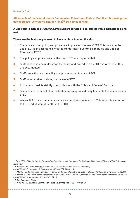**All aspects of the Mental Health Commission Rules10 and Code of Practice11 Governing the use of Electro-Convulsive Therapy (ECT)12 are complied with.**

#### **A Checklist is included** *(Appendix 2)* **to support services to determine if this indicator is being met.**

#### **These are the features you need to have in place to meet the aim:**

- **1.** There is a written policy and procedure in place on the use of ECT. This policy on the use of ECT is in accordance with the Mental Health Commission Rules and Code of Practice on ECT13.
- **2.** The policy and procedures on the use of ECT are implemented.
- **3.** Staff have read and understand the policy and procedures on ECT and records of this are documented.
- **4.** Staff can articulate the policy and processes on the use of ECT.
- **5.** Staff have received training on the use of ECT.
- **6.** ECT, where used, is strictly in accordance with the Rules and Code of Practice.
- **7.** Services are in receipt of accreditation by an approved body to enable the safe provision of ECT.
- 8. Where ECT is used, an annual report is completed on its use<sup>14</sup>. This report is submitted to the Head of Mental Health in the CHO.

*9. Rule 10(4) of Mental Health Commission Rules Governing the Use of Seclusion and Mechanical Means of Bodily Restraint (Version 2)* 

*10. Electro-Convulsive Therapy, Section 59 of Mental Health Act 2001 (as amended)*

*Mental Health Commission Rules Governing Use of ECT (Version 3)*

*11. Mental Health Commission Code of Practice on the Use of Electro-Convulsive Therapy for Voluntary Patients (15.02.16)*

*12. Mental Health Commission Memorandum on the ECT Rules (03.02.16); Mental Health Commission Memorandum on the Mental Health (Amendment) Act 2001 (03.02.16)*

*13. See Footnotes Above*

. . . . . . . . . . . . . . . .

*<sup>14.</sup> Rule 11 Mental Health Commission Rules Governing Use of ECT (Version 3)*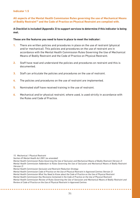**All aspects of the Mental Health Commission Rules governing the use of Mechanical Means of Bodily Restraint15 and the Code of Practice on Physical Restraint are complied with.**

#### **A Checklist is included (Appendix 3) to support services to determine if this indicator is being met.**

#### **These are the features you need to have in place to meet the indicator:**

- **1.** There are written policies and procedures in place on the use of restraint (physical and/or mechanical). This policies and procedures on the use of restraint are in accordance with the Mental Health Commission Rules Governing the Use of Mechanical Means of Bodily Restraint and the Code of Practice on Physical Restraint.
- **2.** Staff have read and understand the policies and procedures on restraint and this is documented.
- **3.** Staff can articulate the policies and procedures on the use of restraint.
- **4.** The policies and procedures on the use of restraint are implemented.
- **5.** Nominated staff have received training in the use of restraint.
- **6.** Mechanical and/or physical restraint, where used, is used strictly in accordance with the Rules and Code of Practice.

*15. Mechanical / Physical Restraint*

*Section 69 Mental Health Act 2001 (as amended)*

*Mental Health Commission Seclusion and Restraint Reduction Strategy*

**\*\*\*\*\*\*\*\*\*\*\*\*\*\*** 

*Mental Health Commission Code of Practice on the Use of Physical Restraint in Approved Centres (Version 2)*

*Mental Health Commission What You Need to Know about the Code of Practice on the Use of Physical Restraint*

*Mental Health Commission Key Revisions Contained in the Code of Practice on the Use of Physical Restraint*

*Mental Health Commission Review of Rules Governing the Use of Seclusion and Mechanical Means of Bodily Restraint and Review of Code of Practice on the Use of Physical Restraint in Approved Centres*

*Mental Health Commission Rules Governing the Use of Seclusion and Mechanical Means of Bodily Restraint (Version 2) Mental Health Commission Addendum to Rules Governing the Use of Seclusion and Mechanical Means of Bodily Restraint (Version 2)*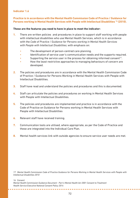#### **Practice is in accordance with the Mental Health Commission Code of Practice / Guidance for Persons working in Mental Health Services with People with Intellectual Disabilities 16 (2010).**

#### **These are the features you need to have in place to meet the indicator:**

- **1.** There are written policies and procedures in place to support staff working with people with intellectual disabilities who use Mental Health Services, which is in accordance with the *Code of Practice / Guidance for Persons working in Mental Health Services with People with Intellectual Disabilities*; with emphasis on:
	- The development of person-centred care planning.
	- Identification of service user's communication needs and the supports required.
	- Supporting the service user in the process for obtaining informed consent<sup>17</sup>.
	- How the least restrictive approaches to managing behaviours of concern are developed.
- **2.** The policies and procedures are in accordance with the Mental Health Commission Code of Practice / Guidance for Persons Working in Mental Health Services with People with Intellectual Disabilities.
- **3.** Staff have read and understand the policies and procedures and this is documented.
- **4.** Staff can articulate the policies and procedures on working in Mental Health Services with People with Intellectual Disabilities.
- **5.** The policies and procedures are implemented and practice is in accordance with the Code of Practice on Guidance for Persons working in Mental Health Services with People with Intellectual Disabilities
- **6.** Relevant staff have received training.
- **7.** Communication tools are utilised, where appropriate, as per the Code of Practice and these are integrated into the Individual Care Plan.
- **8.** Mental health services link with outside agencies to ensure service user needs are met.

*17. Mental Health Commission Code of Practice Guidance for Persons Working in Mental Health Services with People with Intellectual Disabilities 2010*

*16. Consent*

*Mental Health Commission Guidance Document - Part 4 Mental Health Act 2001 Consent to Treatment Health Service Executive National Consent Policy 2014*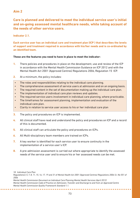**Care is planned and delivered to meet the individual service user's initial and on-going assessed mental healthcare needs, while taking account of the needs of other service users.** 

**Indicator 2.1.**

**Each service user has an individual care and treatment plan (ICP ) that describes the levels of support and treatment required in accordance with his/her needs and is co-ordinated by an identified team.**

#### **These are the features you need to have in place to meet the indicator:**

- **1.** There policies and procedures in place on the development, use and review of the ICP in accordance with the Mental Health Commission Guidance on ICP 2012 and with the Mental Health Act 2001 (Approved Centres) Regulations 2006, Regulation 15 ICP.
- **2.** At a minimum, the policy includes:
- The roles and responsibilities relating to the individual care planning.
- The comprehensive assessment of service users at admission and on an ongoing basis.
- The required content in the set of documentation making up the individual care plan.
- The implementation of individual care plan reviews and updates.
- The required service users involvement in individual care planning, where practicable.
- The timeframes for assessment planning, implementation and evaluation of the individual care plan.
- Clarity in relation to service user access to his or her individual care plan
- **3.** The policy and procedures on ICP is implemented.
- **4.** All clinical staff have read and understand the policy and procedures on ICP and a record of this is documented.
- **5.** All clinical staff can articulate the policy and procedures on ICPs.
- **6.** All Multi-disciplinary team members are trained on ICPs.

**\*\*\*\*\*\*\*\*\*\*\*\*\*\*\*\*\*** 

- **7.** A key worker is identified for each service user to ensure continuity in the implementation of a service user's ICP.
- **8.** A pre-admission assessment is carried out where appropriate to identify the assessed needs of the service user and to ensure his or her assessed needs can be met.

*Regulations3, 5, 7, 8, 11, 15, 16, 17, 19 and 31 of Mental Health Act 2001 (Approved Centres) Regulations 2006 S.I. No 551 of 2006 Mental Health Commission Document on Individual Care Planning Mental Health Services (April 2012)*

*Mental Health Commission Code of Practice on Admission, Transfer and Discharge to and from an Approved Centre Mental Health Commission Quality Framework Standard 1.1.*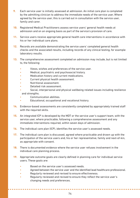- **9.** Each service user is initially assessed at admission. An initial care plan is completed by the admitting clinician to address the immediate needs of the service user, Where agreed by the service user, this is carried out in consultation with the service user, family and carer.
- **10.** Registered Medical Practitioners assess service users' general health needs at admission and on an ongoing basis as part of the service's provision of care.
- **11.** Service users receive appropriate general health care interventions in accordance with his or her individual care plans.
- **12.** Records are available demonstrating the service users' completed general health checks and the associated results, including records of any clinical testing, for example laboratory results.
- **13.** The comprehensive assessment completed on admission may include, but is not limited to, the following:
	- Views, wishes and preferences of the service user.
	- Medical, psychiatric and psychosocial history.
	- Medication history and current medications.
	- Current physical health assessment.
	- Nutritional assessment.
	- Detailed risk assessment.
	- Social, interpersonal and physical wellbeing related issues including resilience and strengths.
	- Communication abilities.
	- Educational, occupational and vocational history.
- **14.** Evidence-based assessments are consistently completed by appropriately trained staff with the required skills.
- **15.** An integrated ICP is developed by the MDT or the service user's support team, with the service user, where practicable, following a comprehensive assessment and any immediate interventions required, within seven days of admission.
- **16.** The individual care plan (ICP), identifies the service user's assessed needs.
- **17.** The individual care plan is discussed, agreed where practicable and drawn up with the participation of the service users and, his or her representative, family and next-of-kin, as appropriate with consent.
- **18.** There is documented evidence where the service user refuses involvement in the individual care planning process.
- **19.** Appropriate outcome goals are clearly defined in planning care for individual service users. These goals are:
	- Based on the service user's assessed needs.
	- Agreed between the service user and the identified lead healthcare professional.
	- Regularly reviewed and revised to ensure effectiveness.

• Regularly reviewed and revised to ensure they reflect the service user's changing needs and preferences.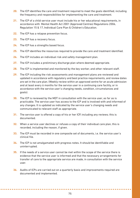- **20.** The ICP identifies the care and treatment required to meet the goals identified, including the frequency and responsibilities for implementing the care and treatment.
- **21.** The ICP of a child service user must include his or her educational requirements, in accordance with Mental Health Act 2001 (Approved Centres) Regulations 2006, Regulation 15 & 17, Individual Care Plan & Children's Education.
- **22.** The ICP has a relapse prevention focus.
- **23.** The ICP has a recovery focus.
- **24.** The ICP has a strengths based focus.
- **25.** The ICP identifies the resources required to provide the care and treatment identified.
- **26.** The ICP includes an individual risk and safety management plan.
- **27.** The ICP includes a preliminary discharge plan where deemed appropriate.
- **28.** The ICP is implemented and monitored by the key worker, and other relevant staff.
- **29.** The ICP including the risk assessments and management plans are reviewed and updated in accordance with regulatory and best practice requirements, and review dates are set in the care plan. (Weekly review within an approved centre for an acute admission and at least every 6 months for the service user in a continuing care facility, or in accordance with the service user's changing needs, condition, circumstances and goals).
- **30.** The ICP is reviewed by the MDT in consultation with the service user, as far as is practicable. The service user has access to the ICP and is involved with and informed of any changes. It is updated as indicated by the service user's changing needs and communicated to relevant staff as appropriate.
- **31.** The service user is offered a copy of his or her ICP, including any reviews; this is documented.
- **32.** When a service user declines or refuses a copy of their individual care plan, this is recorded, including the reason, if given.
- **33.** The ICP must be recorded in one composite set of documents, i.e. the service user's clinical file.
- **34.** The ICP is not amalgamated with progress notes. It should be identifiable and uninterrupted.
- **35.** If the needs of a service user cannot be met within the scope of the service there is evidence that the service user is informed and that the necessary arrangements for transfer of care to the appropriate service are made, in consultation with the service user.
- **36.** Audits of ICPs are carried out on a quarterly basis and improvements required are documented and implemented.

. . . . . . . . . . . . . . . . . . .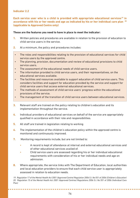**Each service user who is a child is provided with appropriate educational services19 in accordance with his or her needs and age as indicated by his or her individual care plan 20 (applicable to Approved Centre only)**

#### **These are the features you need to have in place to meet the indicator:**

- **1.** Written policies and procedures are available in relation to the provision of education to child service users in the service.
- **2.** At a minimum, the policy and procedures includes:
	- The roles and responsibilities relating to the provision of educational services for child service users by the approved centre.
	- The planning, provision, documentation and review of educational provisions to child service users.
	- The assessment of the educational needs of child service users.
	- The information provided to child service users, and their representatives, on the educational services available.
	- The facilities and resources available to support education of child service users. This considers facilities and support for education provided by the service and support for child service users that access external educational services.
	- The methods of assessment of child service users' progress within the educational provisions of the service.
	- The management of the transition of child service users between educational services.
- **3.** Relevant staff are trained on the policy relating to children's education and its implementation throughout the service.
- **4.** Individual providers of educational services on behalf of the service are appropriately qualified in accordance with their role and responsibilities.
- **5.** All staff are trained in legislation relating to working
- **6.** The implementation of the children's education policy within the approved centre is monitored and continuously improved.
- **7.** Monitoring requirements include, but are not limited to:
	- A record is kept of attendance at internal and external educational services and of other educational services availed of.
	- Child service users are assessed regarding his or her individual educational requirements with consideration of his or her individual needs and age on admission.
- **8.** Where appropriate, the service links with The Department of Education, local authorities and local education providers to ensure that each child service user is appropriately assessed in relation to education needs.

*19. Regulation 17 of the Mental Health Act 2001 (Approved Centre) Regulation 2006 S.I. No 551 of 2006 (Children's Education) 20. Regulation 15 of the Mental Health Act 2001 (Approved Centres) Regulations 2006 S.I. No 551 of 2006 (Individual Care Plan)*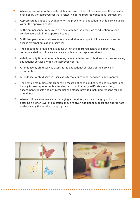- **9.** Where appropriate to the needs, ability and age of the child service user, the education provided by the approved centre is reflective of the required educational curriculum.
- **10.** Appropriate facilities are available for the provision of education to child service users within the approved centre.
- **11.** Sufficient personnel resources are available for the provision of education to child service users within the approved centre.
- **12.** Sufficient personnel and resources are available to support child servicer users to access external educational services.
- **13.** The educational provisions available within the approved centre are effectively communicated to child service users and his or her representatives.
- **14.** A daily activity timetable for schooling is available for each child service user receiving educational services within the approved centre.
- **15.** Attendance by child service users at the educational services of the service is documented.
- **16.** Attendance by child service users at external educational services is documented.
- **17.** The service maintains comprehensive records of each child service user's educational history for example, schools attended, reports obtained, certificates awarded, assessment reports and any remedial assistance provided including reasons for nonattendance.
- **18.** Where child service users are managing a transition, such as changing school or entering a higher level of education, they are given additional support and appropriate assistance by the service, if appropriate.



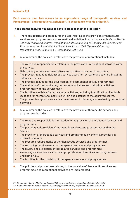#### **Each service user has access to an appropriate range of therapeutic services and** Programmes<sup>21</sup> and recreational activities<sup>22</sup>, in accordance with his or her ICP.

#### **These are the features you need to have in place to meet the indicator:**

- **1.** There are policies and procedures in place, relating to the provision of therapeutic services and programmes, and recreational activities in accordance with *Mental Health Act 2001 (Approved Centres) Regulations 2006, Regulation 16 Therapeutic Services and Programmes and Regulation 9 of Mental Health Act 2001 (Approved Centres) Regulations 2006, Regulation 9 Recreational Activities.*
- **2.** At a minimum, the policies in relation to the provision of recreational includes:
- The roles and responsibilities relating to the provision of recreational activities within the service.
- Determining service user needs likes and dislikes in relation to activities.
- The process applied to risk assess service users for recreational activities, including outdoor activities.
- The process applied for the development of recreational activity programmes.
- The methods of communicating recreational activities and individual activities programmes with the service user.
- The facilities available for recreational activities, including identification of suitable locations for recreational activities within and external to the approved centre.
- The process to support service user involvement in planning and reviewing recreational activities.
- **3.** At a minimum, the policies in relation to the provision of therapeutic services and programmes includes:
	- The roles and responsibilities in relation to the provision of therapeutic services and programmes.
	- The planning and provision of therapeutic services and programmes within the Service.
	- The provision of therapeutic services and programmes by external providers in external locations.
	- The resource requirements of the therapeutic services and programmes.
	- The recording requirements for therapeutic services and programmes.
	- The review and evaluation of therapeutic services and programmes.
	- Assessing service users as to the appropriateness of services and programmes (including risk).
	- The facilities for the provision of therapeutic services and programmes
- **4.** The policies and procedures relating to the provision of therapeutic services and programmes, and recreational activities are implemented.

**\*\*\*\*\*\*\*\*\*\*\*\*\*\*** 

*<sup>21.</sup> Regulation 16 of the Mental Health Act, 2001 (Approved Centres) Regulations S.I. No 551 of 2006* 

*<sup>22.</sup> Regulation 9 of the Mental Health Act, 2001 (Approved Centres) Regulations S.I. No 551 of 2006*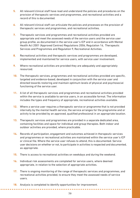- **5.** All relevant/clinical staff have read and understand the policies and procedures on the provision of therapeutic services and programmes, and recreational activities and a record of this is documented.
- **6.** All relevant/clinical staff can articulate the policies and processes on the provision of therapeutic services and programmes, and recreational activities.
- **7.** Therapeutic services and programmes and recreational activities provided are appropriate and meet the assessed needs of the service users and the service user group profile, as documented in the service user's ICP and in accordance with Mental Health Act 2001 (Approved Centres) Regulations 2006, Regulation 16, Therapeutic Services and Programmes and Regulation 9, Recreational Activities.
- **8.** Recreational activities and therapeutic services and programmes are developed, implemented and maintained for service users, with service user involvement.
- **9.** Where recreational activities are provided they are adequately and appropriately resourced.
- **10.** The therapeutic services, programmes and recreational activities provided are specific, targeted and evidence-based, developed in conjunction with the service user and directed towards restoring and maintain optimum levels of physical and psychosocial functioning of the service user.
- **11.** A list of all therapeutic services and programmes and recreational activities provided within the service is available to service users, in an accessible format. The information includes the types and frequency of appropriate, recreational activities available.
- **12.** Where a service user requires a therapeutic service or programme that is not provided internally by the mental health service, the service arranges for the programme and or activity to be provided by an approved, qualified professional in an appropriate location.
- **13.** Therapeutic services and programmes are provided in a separate dedicated area, containing facilities and space for individual and group therapies. Both indoor and outdoor activities are provided, where practicable.
- **14.** Records of participation, engagement and outcomes achieved in therapeutic services and programmes or recreational activities are maintained within the service user's ICP or clinical file. Where the service user refuses to attend, this is documented. Service user decisions on whether or not, to participate in activities is respected and documented, as appropriate.
- **15.** There is access to recreational activities on weekdays and during the weekend.
- **16.** Individual risk assessments are completed for service users, where deemed appropriate, in relation to the selection of appropriate activities.
- **17.** There is ongoing monitoring of the range of therapeutic services and programmes, and recreational activities provided, to ensure they meet the assessed needs of service users.
- **18.** Analysis is completed to identify opportunities for improvement.

**\*\*\*\*\*\*\*\*\*\*\*\*\*\*\*** 

**\*\*\*\*\*\*\*\*\*\*\***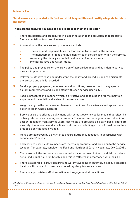#### **Service users are provided with food and drink in quantities and quality adequate for his or her needs.**

#### **These are the features you need to have in place to meet the indicator:**

- **1.** There are policies and procedures in place in relation to the provision of appropriate food and nutrition to all service users.
- **2.** At a minimum, the policies and procedures include:
	- The roles and responsibilities for food and nutrition within the service.
	- The management of food and nutrition for each service user within the service.
	- Assessing the dietary and nutritional needs of service users.
	- Monitoring food and water intake.
- **3.** The policy and procedure on the provision of appropriate food and nutrition to service users is implemented.
- **4.** Relevant staff have read and understand the policy and procedure and can articulate the process and this is recorded.
- **5.** Food is properly prepared, wholesome and nutritious, takes account of any special dietary requirements and is consistent with each service user's ICP.
- **6.** Food is presented in a manner which is attractive and appealing in order to maintain appetite and the nutritional status of the service user.
- **7.** Weight and growth charts are implemented, monitored for variances and appropriate action is taken where indicated.
- **8.** Service users are offered a daily menu with at least two choices for meals that reflect his or her preference and dietary requirements. The menu varies regularly and takes into account feedback from service users. Hot meals are provided on a daily basis. There are a variety of wholesome and nutritious food choices, including portions from different food groups as per the food pyramid.
- **9.** Menus are approved by a dietician to ensure nutritional adequacy in accordance with service users' needs.
- **10.** Each service user's cultural needs are met via appropriate food provision to the service location, (for example, consider the Food and Nutritional Care in Hospitals, DoHC, 2009).
- **11.** There are facilities for service users to make his or her own hot and cold drinks unless actual individual risk prohibits this and this is reflected in accordance with their ICP.
- **12.** There is a source of safe, fresh drinking water<sup>12</sup> available at all times, in easily accessible locations. Hot and cold drinks are offered regularly to service users.
- **13.** There is appropriate staff observation and engagement at meal times.

. . . . . . . . . . . .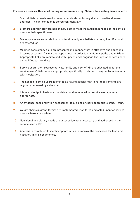#### **For service users with special dietary requirements – (eg. Malnutrition, eating disorder, etc.)**

- **1.** Special dietary needs are documented and catered for e.g. diabetic, coeliac disease, allergies. This information is stored confidentially.
- **2.** Staff are appropriately trained on how best to meet the nutritional needs of the service users in their specific area.
- **3.** Dietary preferences in relation to cultural or religious beliefs are being identified and are catered for.
- **4.** Modified consistency diets are presented in a manner that is attractive and appealing in terms of texture, flavour and appearance, in order to maintain appetite and nutrition. Appropriate links are maintained with Speech and Language Therapy for service users on modified texture diets.
- **5.** Service users, their representatives, family and next-of-kin are educated about the service users' diets, where appropriate, specifically in relation to any contraindications with medication.
- **6.** The needs of service users identified as having special nutritional requirements are regularly reviewed by a dietician.
- **7.** Intake and output charts are maintained and monitored for service users, where appropriate.
- **8.** An evidence-based nutrition assessment tool is used, where appropriate. (MUST, MNA)
- **9.** Weight charts in graph format are implemented, monitored and acted upon for service users, where appropriate.
- **10.** Nutritional and dietary needs are assessed, where necessary, and addressed in the service user's ICP.
- **11.** Analysis is completed to identify opportunities to improve the processes for food and nutrition. This is documented.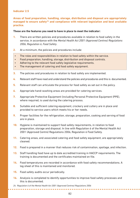**Areas of food preparation, handling, storage, distribution and disposal are appropriately managed to ensure safety24 and compliance with relevant legislation and best available practice.**

#### **These are the features you need to have in place to meet the indicator:**

- **1.** There are written policies and procedures available in relation to food safety in the service, in accordance with the *Mental Health Act 2001 (Approved Centres) Regulations 2006, Regulation 6, Food Safety*.
- **2.** At a minimum, the policies and procedures include:
- The roles and responsibilities in relation to food safety within the service.
- Food preparation, handling, storage, distribution and disposal controls.
- Adhering to the relevant food safety legislative requirements.
- The management of catering and food safety equipment.
- **3.** The policies and procedures in relation to food safety are implemented.
- **4.** Relevant staff have read and understand the policies and procedures and this is documented.
- **5.** Relevant staff can articulate the process for food safety as set out in the policy.
- **6.** Appropriate hand-washing areas are provided for catering services.
- **7.** Appropriate Protective Equipment (including Personal Protective Equipment (PPE), where required, is used during the catering process.
- **8.** Suitable and sufficient catering equipment, crockery and cutlery are in place and provided to service users which meets his or her needs.
- **9.** Proper facilities for the refrigeration, storage, preparation, cooking and serving of food are in place.
- **10.** Hygiene is maintained to support food safety requirements, in relation to food preparation, storage and disposal. In line with Regulation 6 of the Mental Health Act 2001 (Approved Centre) Regulations 2006, Regulation 6 Food Safety.
- **11.** Catering areas, and associated catering and food safety equipment, are appropriately cleaned.
- **12.** Food is prepared in a manner that reduces risk of contamination, spoilage, and infection.
- **13.** Staff handling food have up to date accredited training in HACCP requirements. The training is documented and the certificates maintained on file.
- **14.** Food temperatures are recorded in accordance with food safety recommendations. A log sheet of this is maintained and monitored.
- **15.** Food safety audits occur periodically.
- **16.** Analysis is completed to identify opportunities to improve food safety processes and this is documented.

*24. Regulation 6 of the Mental Health Act 2001 (Approved Centres) Regulations 2006*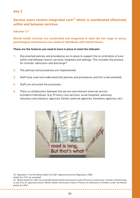# **Service users receive integrated care25 which is coordinated effectively within and between services.**

#### **Indicator 3.1**

**Mental health services are coordinated and integrated to meet the full range of social, psychological and physical care needs of individuals with mental illness.**

#### **These are the features you need to have in place to meet the indicator.**

- **1.** Documented policies and procedures are in place to support the co-ordination of care within and between teams, services, hospitals and settings. This includes the process for transfer, admission and discharge<sup>26</sup>.
- **2.** The policies and procedures are implemented.
- **3.** Staff have read and understand the policies and procedures and this is documented.
- **4.** Staff can articulate the processes.
- **5.** There is collaboration between the service and relevant external service providers/individuals. (e.g. Primary care services, acute hospitals, advocacy, voluntary and statutory agencies, Gardaí, external agencies, homeless agencies, etc).



*25. Regulation 19 of the Mental Health Act 2001 (Approved Centres) Regulations 2006 Health Act 1947 (as amended) 26. Mental Health Act, 2001 (as amended); Mental Health Commission Code of Practice on Admission, Transfer and Discharge to and from an Approved Centre; Mental Health Commission Code of Practice on Admission of Children under the Mental Health Act 2001*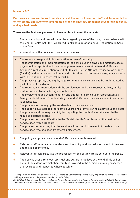Each service user continues to receive care at the end of his or her life<sup>27</sup> which respects his **or her dignity and autonomy and meets his or her physical, emotional psychological, social and spiritual needs.** 

#### **These are the features you need to have in place to meet the indicator:**

- **1.** There is a policy and procedure in place regarding care of the dying, in accordance with the Mental Health Act 2001 (Approved Centres) Regulations 2006, Regulation 14 Care of the Dying.
- **2.** At a minimum, the policy and procedure includes:
- The roles and responsibilities in relation to care of the dying.
- The identification and implementation of the service user's physical, emotional, social, psychological, spiritual and pain management needs in relation to end of life care.
- Advance directives in relation to end of life care, Do Not Attempt Resuscitation orders (DNARs), and service user' religious and cultural end of life preferences, in accordance with HSE National Consent Policy Part 4.
- The privacy, propriety and dignity requirements of service users to be implemented as part of care of the dying.
- The required communication with the service user and their representatives, family, next-of-kin and friends during end of life care.
- The involvement and accommodation and support of service user representatives, family, next-of-kin and friends during the end of life care of a service user, in so far as is practicable.
- The process for managing the sudden death of a service user.
- The supports available to other service users and staff following a service user's death.
- The process and the responsibility for reporting the death of a service user to the required external bodies.
- The process for the notification to the Mental Health Commission of the death of a service user within 48 hours.
- The process for ensuring that the service is informed in the event of the death of a service user who has been transferred elsewhere.
- **3.** The policy and procedures on end of life care are implemented.
- **4.** Relevant staff have read and understand the policy and procedures on end of life care and this is documented.
- **5.** Relevant staff can articulate the processes for end of life care as set out in the policy.
- **6.** The Service user's religious, spiritual and cultural practices at the end of his or her life and the extent to which their family is involved in the decision-making processes are recorded and respected where possible.

*27. Regulation 14 of the Mental Health Act 2001 (Approved Centres) Regulations 2006, Regulation 10 of the Mental Health 2001 (Approved Centres) Regulations 2006 Care of the Dying*

*Mental Health Commission Code of Practice on Notification of Deaths and Incident Reporting; Mental Health Commission Addendum to the Code of Practice on Notification of Deaths and Incident Reporting; Section 18 Coroners Act 1962 (Notification);*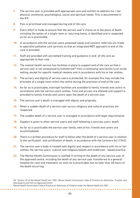- **7.** The service user is provided with appropriate care and comfort to address his / her physical, emotional, psychological, social and spiritual needs. This is documented in the ICP.
- **8.** Pain is prioritised and managed during end of life care.
- **9.** Every effort is made to ensure that the service user's choice as to the place of death, including the option of a single room or returning home, is identified and is respected as far as is practicable.
- **10.** In accordance with the service users assessed needs and consent; referrals are made to specialist palliative care services so that an integrated MDT approach to end of life care is provided.
- **11.** Staff are provided with accredited training and guidance in end- of-life care as appropriate to their role.
- **12.** The mental health service has facilities in place to support end of life care so that a service user is not unnecessarily transferred $^{28}$  from a continuing care facility to an acute setting, except for specific medical reasons and in accordance with his or her wishes.
- **13.** The privacy and dignity of service users is protected, for example this may include the provision of a single room within the centre during the provision of end of life care.
- **14.** As far as is practicable, overnight facilities are available to family, friends and carers in accordance with the service users wishes. Time and privacy are allowed and support is provided to family, friends and carers upon the death of a service user.
- **15.** The service user's death is managed with dignity and propriety.
- **16.** When a sudden death of a service user occurs religious and cultural practices are respected.
- **17.** The sudden death of a service user is managed in accordance with legal requirements.
- **18.** Support is given to other service users and staff following a services users' death.
- **19.** As far as is practicable the service user family, next of kin, friends and carers are accommodated.
- **20.** There is a written procedure for staff to follow after the death of a service user in relation to the verification and certification of death, in accordance with the Coroners Act (1962).
- **21.** The service user's body is treated with dignity and respect in accordance with his or her wishes, the service users' cultural and religious beliefs and evidenced – based practice.
- **22.** The Mental Health Commission is notified in writing of the death of any service user of the approved centre, including the death of any service user transferred to a general hospital for care and treatment, as soon as is practicable, but no later than 48 hours of the death occurring.

*Mental Health Commission Code of Practice on Admission of Children under the Mental Health Act 2001*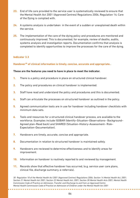- **23.** End of life care provided to the service user is systematically reviewed to ensure that the Mental Health Act 2001 (Approved Centres) Regulations 2006, Regulation 14; Care of the Dying is complied with.
- **24.** A systems analysis is undertaken in the event of a sudden or unexplained death within the service.
- **25.** The implementation of the care of the dying policy and procedures are monitored and continuously improved. This is documented, for example, review of deaths, audits, systems analysis and investigation reports. Documentation confirms that analysis is completed to identify opportunities to improve the processes for the care of the dying.

**Handover30 of clinical information is timely, concise, accurate and appropriate..** 

#### **These are the features you need to have in place to meet the indicator.**

- **1.** There is a policy and procedure in place on structured clinical handover.
- **2.** The policy and procedures on clinical handover is implemented.
- **3.** Staff have read and understand the policy and procedures and this is documented.
- **4.** Staff can articulate the processes on structured handover as outlined in the policy.
- **5.** Agreed communication tools are in use for handover including handover checklists with minimum data sets.
- **6.** Tools and resources for a structured clinical handover process, are available to the workforce. Examples include ISOBAR (Identify–Situation–Observations– Background– Agreed plan–Read back) and SHARED (Situation–History–Assessment– Risk– Expectation–Documentation).
- **7.** Handovers are timely, accurate, concise and appropriate.
- **8.** Documentation in relation to structured handover is maintained safely.
- **9.** Handovers are reviewed to determine effectiveness and to identify areas for improvement.
- **10.** Information on handover is routinely reported to and reviewed by management.
- **11.** Records show that effective handover has occurred, (e.g. service user care plans, clinical file, discharge summary, e-referrals).

*30 Regulation 18 of the Mental Health Act 2001 (Approved Centres) Regulations 2006, Section 14 Mental Health Act, 2001; Section 21 Mental Health Act 2001; Section 22 Mental Health Act, 2001; Section 28 Mental Health Acts 2001; Mental Health Commission Code of Practice on Admission, Transfer and Discharge to and from an Approved Centre Mental Health Commission Code of Practice on Admission of Children under the Mental Health Act 2001*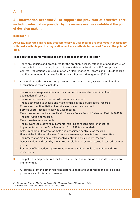# **All information necessary31 to support the provision of effective care, including information provided by the service user, is available at the point of decision making.**

#### **Indicator 4.1**

**Accurate, integrated and readily accessible service user records are developed in accordance with best available practice/legislation, and are available to the workforce at the point of care.**

#### **These are the features you need to have in place to meet the indicator:**

- **1.** There are policies and procedures for the creation, access, retention of and destruction of records in place and are in accordance with Mental Health Act 2001 (Approved Centres) Regulations 2006, Regulation 27 Maintenance of Records and HSE Standards and Recommended Practices for Healthcare Records Management (2011).
- **2.** At a minimum, the policies and procedures for the creation, access, retention of and destruction of records includes:
	- The roles and responsibilities for the creation of, access to, retention of and destruction of records.
	- The required service user record creation and content.
	- Those authorised to access and make entries in the service users' records.
	- Privacy and confidentiality of service user record and content.
	- Service users'' access to service user records.
	- Record retention periods, see Health Service Policy Record Retention Periods (2013)
	- The destruction of records.
	- Record review requirements.
	- The relevant legislative requirements relating to record maintenance; the implementation of the Data Protection Act 1988 (as amended).
	- Acts, Freedom of Information Acts and associated controls for records.
	- How entries in the service user'' records are made, corrected and overwritten.
	- The process for making a retrospective entry in service users' records.
	- General safety and security measures in relation to records (stored in locked room or press).
	- Retention of inspection reports relating to food safety, health and safety and fire inspections.
- **3.** The policies and procedures for the creation, access, retention of and destruction are implemented.
- **4.** All clinical staff and other relevant staff have read and understand the policies and procedures and this is documented.

**\*\*\*\*\*\*\*\*\*\*\*\*** 

*<sup>31.</sup> Regulation 27 of the Mental Health Act 2001 (Approved Centre) Regulations 2006*

*<sup>32.</sup> Health Services Regulations 1971 S.I. No 105/1971*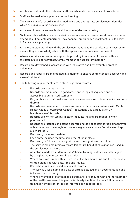- **5.** All clinical staff and other relevant staff can articulate the policies and procedures.
- **6.** Staff are trained in best practice record keeping.
- **7.** The service user's record is maintained using two appropriate service user identifiers which are unique to the service user.
- **8.** All relevant records are available at the point of decision making.
- **9.** Technology is available to ensure staff can access service users clinical records whether attending out patients department, day hospital, emergency department , etc. to assist in focused care planning.
- **10.** All relevant staff working with the service user have read the service user's records to ensure they are knowledgeable, with the appropriate service user's consent.
- **11.** Where a service user requires support in providing information for records this is facilitated. (e.g. peer advocate, family member or nurse/staff member).
- **12.** Records are developed in accordance with legislative and best available practice guidelines.
- **13.** Records and reports are maintained in a manner to ensure completeness, accuracy and ease of retrieval.
- **14.** The following requirements are in place regarding records:
	- Records are kept up-to date.
	- Records are maintained in good order and in logical sequence and are accessible to authorised staff only.
	- Only authorised staff make entries in service users records or specific sections therein.
	- Records are maintained in a safe and secure place, in accordance with Mental Health Act 2001 (Approved Centre) Regulations 2006, Regulation 27 Maintenance of Records.
	- Records are written legibly in black indelible ink and are readable when photocopied.
	- Records are factual, consistent, accurate and do not contain jargon, unapproved abbreviations or meaningless phrases (e.g. observations – "service user kept a low profile").
	- Each entry includes the date.
	- Each entry includes the time using the 24-hour clock.
	- Each entry is followed by a signature and the signatures discipline.
	- The service also maintains a record (signature bank) of all signatures used in the service user's record.
	- All entries made by student nurses/clinical training staff are counter-signed by a registered nurse/clinical supervisor.
	- Where an error is made, this is scored out with a single line and the correction written alongside with date, time and initials.
	- Correction fluid is not used on clinical records.
	- The service user's name and date of birth is detailed on all documentation and is transcribed correctly.
	- Where a member of staff makes a referral to, or consults with another member of the healthcare team, this person is clearly identified by their full name and title. (Seen by doctor' or 'doctor informed' is not acceptable).

**\*\*\*\*\*\*\*\*\*\*\*\***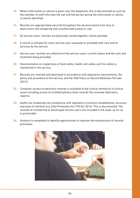- **15.** Where information or advice is given over the telephone, this is documented as such by the member of staff who took the call and the person giving the information or advice is clearly identified.
- **16.** Records are appropriately secured throughout the service/centre from loss or destruction and tampering and unauthorised access or use.
- **17.** All service users' records are physically stored together, where possible
- **18.** A record is initiated for every service user assessed or provided with care and/or services by the service.
- **19.** Service user records are reflective of the service users' current status and the care and treatment being provided.
- **20.** Documentation on inspections of food safety, health and safety and fire safety is maintained in the service.
- **21.** Records are retained and destroyed in accordance with legislative requirements, the policy and procedure of the service, and the HSE Policy on Record Retention Periods (2013).
- **22.** Computer access to electronic records is available to the clinical workforce in clinical areas including access to multidisciplinary team records (for example laboratory reports).
- **23.** Audits are conducted into compliance with legislation to ensure completeness, accuracy and ease of retrieval (e.g. Data Protection Act, FOI Act 2014). This is documented. The records of transferred or discharged service users are included in the audit, as far as is practicable.
- **24.** Analysis is completed to identify opportunities to improve the maintenance of records processes.

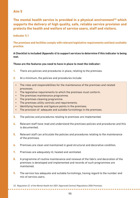**The mental health service is provided in a physical environment<sup>33</sup> which supports the delivery of high quality, safe, reliable service provision and protects the health and welfare of service users, staff and visitors.**

#### **Indicator 5.1**

**The premises and facilities comply with relevant legislative requirements and best available practice.** 

#### **A Checklist is included** *(Appendix 4) t***o support services to determine if this indicator is being met.**

#### **These are the features you need to have in place to meet the indicator:**

- **1.** There are policies and procedures in place, relating to the premises.
- **2.** At a minimum, the policies and procedures include:
	- The roles and responsibilities for the maintenance of the premises and related processes.
	- The legislative requirements to which the premises must conform.
	- The premises maintenance programme.
	- The premises cleaning programme.
	- The premises utility controls and requirements.
	- Identifying hazards and ligature points in the premises.
	- The provision of adequate and suitable furnishings in the premises.
- **3.** The policies and procedures relating to premises are implemented.
- **4.** Relevant staff have read and understand the premises policies and procedures and this is documented.
- **5.** Relevant staff can articulate the policies and procedures relating to the maintenance of the premises.
- **6.** Premises are clean and maintained in good structural and decorative condition.
- **7.** Premises are adequately lit, heated and ventilated.
- **8.** A programme of routine maintenance and renewal of the fabric and decoration of the premises is developed and implemented and records of such programmes are maintained.
- **9.** The service has adequate and suitable furnishings, having regard to the number and mix of service users.

. . . . . . . . . . . . . . . . . .

*<sup>33.</sup> Regulation 22 of the Mental Health Act 2001 (Approved Centres) Regulations 2006 Premises*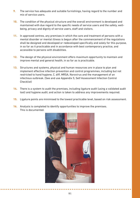- **9.** The service has adequate and suitable furnishings, having regard to the number and mix of service users.
- **10.** The condition of the physical structure and the overall environment is developed and maintained with due regard to the specific needs of service users and the safety, wellbeing, privacy and dignity of service users, staff and visitors.
- **11.** In approved centres, any premises in which the care and treatment of persons with a mental disorder or mental illness is begun after the commencement of the regulations shall be designed and developed or redeveloped specifically and solely for this purpose, in so far as it practicable and in accordance with best contemporary practice, and accessible to persons with disabilities.
- **12.** The design of the physical environment offers maximum opportunity to maintain and improve mental and general health, in so far as is practicable.
- **13.** Structures and systems, physical and human resources are in place to plan and implement effective infection prevention and control programmes, including but not restricted to hand hygiene, C. diff, MRSA, Norovirus and the management of an infectious outbreak. (See and use Appendix 5, Self Assessment Infection Control Checklist)
- **14.** There is a system to audit the premises, including ligature audit (using a validated audit tool) and hygiene audit; and action is taken to address any improvements required.
- **15.** Ligature points are minimised to the lowest practicable level, based on risk assessment.
- **16.** Analysis is completed to identify opportunities to improve the premises. This is documented.

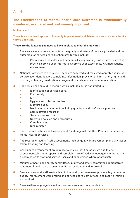# **The effectiveness of mental health care outcomes is systematically monitored, evaluated and continuously improved.**

#### **Indicator 6.1**

#### **There is a structured approach to quality improvement which involves service users, family, carers and staff.**

#### **These are the features you need to have in place to meet the indicator:**

- **1.** The service evaluates and monitors the quality and safety of the care provided and the outcomes for service users. Mechanisms for this include:
	- Performance indicators and benchmarks (e.g. waiting times, use of restrictive practice, service user information, service user experience, ICP, medications, environment).
- **2.** National Care metrics are in use. These are collected and reviewed monthly and include: service user identification, complaints information, provision of information, rights and discharge planning, medication storage and custody, medication administration.
- **3.** The service has an audit schedule which includes but is not limited to:
	- Identification of service users.
	- Food safety.
	- ICP.
	- Hygiene and infection control.
	- Ligature audit.
	- Medication management (including quarterly audits of prescription and administration records).
	- Service user records.
	- Operating policies and procedures.
	- Complaints log.
	- Risk register.
- **4.** The schedule includes self-assessment / audit against this Best Practice Guidance for Mental Health Services.
- **5.** The records of audits / self-assessments include quality improvement plans, any action taken, trending and learning.
- **6.** Governance arrangement are in place to ensure that findings from audits / selfassessments, incident reports and complaints are effectively managed, monitored and disseminated to staff and service users and anonymised where appropriate
- **7.** Minutes of health and safety committees, quality and safety committees demonstrate that mental health care is being monitored, evaluated and improved.
- **8.** Service users and staff are involved in the quality improvement process, (e.g. executive quality improvement walk around and service users' committees) and receive training as required.
- **9.** Clear written language is used in core processes and documentation.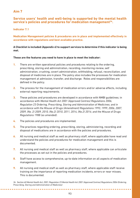## **Service users' health and well-being is supported by the mental health service's policies and procedures for medication management34.**

**Indicator 7.1**

**Medication Management policies & procedures are in place and implemented effectively in accordance with regulations and best available practice.** 

#### **A Checklist is included** *(Appendix 6)* **to support services to determine if this indicator is being met.**

#### **These are the features you need to have in place to meet the indicator:**

- **1.** There are written operational policies and procedures relating to the ordering, prescribing, storing and administration, recording, monitoring review, self administration, crushing, covert administration, withholding, refusal, reconciliation, and disposal of medicines are in place. The policy also includes the processes for medication management at admission, transfer, and discharge. Roles and responsibilities are defined in the policy.
- **2.** The process for the management of medication errors and/or adverse effects, including external reporting requirements.
- **3.** These policies and procedures are developed in accordance with NMBI guidelines; in accordance with *Mental Health Act 2001 (Approved Centres) Regulations 2006, Regulation 23 Ordering, Prescribing, Storing and Administration of Medicines; and in accordance with the Misuse of Drugs (Amendment) Regulations 1993, 1999, 2006, 2007, 2009, (No. 2) 2009, 2010, (No.2) 2010, 2011, 2014, (No.2) 2014; and the Misuse of Drugs Regulations 1988 (as amended)*.
- **4.** The policies and procedures are implemented.

. . . . . . . . . . . . . . . .

- **5.** The practices regarding ordering, prescribing, storing, administering, recording and disposal of medications are in accordance with the policies and procedures.
- **6.** All nursing and medical staff as well as pharmacy staff, where applicable have read and understand the policies and procedures for medication management and this is documented.
- **7.** All nursing and medical staff as well as pharmacy staff, where applicable can articulate the processes as set out in the policies and procedures.
- **8.** Staff have access to comprehensive, up-to-date information on all aspects of medication management.
- **9.** All nursing and medical staff as well as pharmacy staff, where applicable staff receive training on the importance of reporting medication incidents, errors or near misses. This is documented.

*34. Section 60 Mental Health Act, 2001; Regulation 23 Mental Health Act 2001 (Approved Centres) Regulations 2006 (Ordering, Prescribing, Storing and Administration of Medicines)*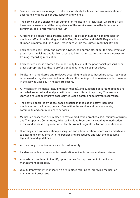- **10.** Service users are encouraged to take responsibility for his or her own medication, in accordance with his or her age, capacity and wishes.
- **11.** The service user's choice to self-administer medication is facilitated, where the risks have been assessed and the competence of the service user to self-administer is confirmed, and is referred to in the ICP.
- **12.** A record of all prescribers' Medical Council Registration number is maintained for medical staff and the Nursing and Midwifery Board of Ireland (NMBI) Registration Number is maintained for Nurse Prescribers within the Nurse Prescriber Division.
- **13.** Each service user, family and carer is advised, as appropriate, about the side effects of prescribed medicines and is given access to information leaflets and where necessary training, regarding medication.
- **14.** Each service user is afforded the opportunity to consult the pharmacist, prescriber or other appropriate healthcare professional about medicines prescribed.
- **15.** Medication is monitored and reviewed according to evidence-based practice. Medication is reviewed at regular specified intervals and the findings of this review are documented in the service user's ICP / healthcare record.
- **16.** All medication incidents (including near misses), and suspected adverse reactions are recorded, reported and analysed within an open culture of reporting. The lessons learned are used to improve each service user's safety and to prevent recurrence.
- **17.** The service operates evidence-based practice in medication safety, including medication reconciliation, on transfers within the service and between acute, community and continuing care services.
- **18.** Medication processes are in place to review medication practices, (e.g. minutes of Drugs and Therapeutics Committees, Adverse Incident Report forms relating to medication errors and adverse drug reactions, Health Product Regulatory Authority notifications).
- **19.** Quarterly audits of medication prescription and administration records are undertaken to determine compliance with the policies and procedures and with the applicable legislation and guidelines.
- **20.** An inventory of medications is conducted monthly.
- **21.** Incident reports are recorded for medication incidents, errors and near misses.
- **22.** Analysis is completed to identify opportunities for improvement of medication management processes.
- **23.** Quality Improvement Plans/CAPA's are in place relating to improving medication management processes.